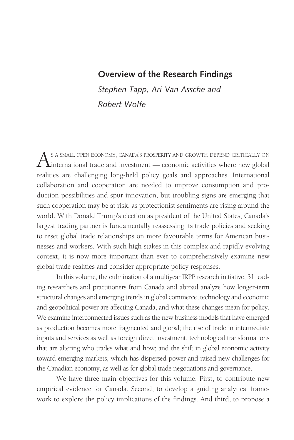# **Overview of the Research Findings**

*Stephen Tapp, Ari Van Assche and Robert Wolfe* 

As a small open economy, canada's prosperity and growth depend critically on<br>international trade and investment — economic activities where new global realities are challenging long-held policy goals and approaches. International collaboration and cooperation are needed to improve consumption and production possibilities and spur innovation, but troubling signs are emerging that such cooperation may be at risk, as protectionist sentiments are rising around the world. With Donald Trump's election as president of the United States, Canada's largest trading partner is fundamentally reassessing its trade policies and seeking to reset global trade relationships on more favourable terms for American businesses and workers. With such high stakes in this complex and rapidly evolving context, it is now more important than ever to comprehensively examine new global trade realities and consider appropriate policy responses.

In this volume, the culmination of a multiyear IRPP research initiative, 31 leading researchers and practitioners from Canada and abroad analyze how longer-term structural changes and emerging trends in global commerce, technology and economic and geopolitical power are affecting Canada, and what these changes mean for policy. We examine interconnected issues such as the new business models that have emerged as production becomes more fragmented and global; the rise of trade in intermediate inputs and services as well as foreign direct investment; technological transformations that are altering who trades what and how; and the shift in global economic activity toward emerging markets, which has dispersed power and raised new challenges for the Canadian economy, as well as for global trade negotiations and governance.

We have three main objectives for this volume. First, to contribute new empirical evidence for Canada. Second, to develop a guiding analytical framework to explore the policy implications of the findings. And third, to propose a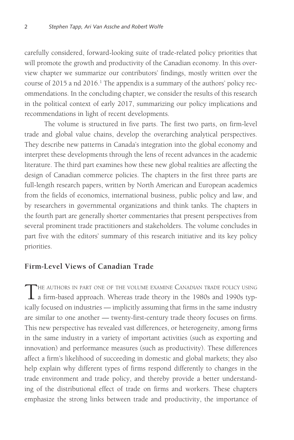carefully considered, forward-looking suite of trade-related policy priorities that will promote the growth and productivity of the Canadian economy. In this overview chapter we summarize our contributors' findings, mostly written over the course of 2015 a nd 2016.<sup>1</sup> The appendix is a summary of the authors' policy recommendations. In the concluding chapter, we consider the results of this research in the political context of early 2017, summarizing our policy implications and recommendations in light of recent developments.

The volume is structured in five parts. The first two parts, on firm-level trade and global value chains, develop the overarching analytical perspectives. They describe new patterns in Canada's integration into the global economy and interpret these developments through the lens of recent advances in the academic literature. The third part examines how these new global realities are affecting the design of Canadian commerce policies. The chapters in the first three parts are full-length research papers, written by North American and European academics from the fields of economics, international business, public policy and law, and by researchers in governmental organizations and think tanks. The chapters in the fourth part are generally shorter commentaries that present perspectives from several prominent trade practitioners and stakeholders. The volume concludes in part five with the editors' summary of this research initiative and its key policy priorities.

#### **Firm-Level Views of Canadian Trade**

THE AUTHORS IN PART ONE OF THE VOLUME EXAMINE CANADIAN TRADE POLICY USING<br>a firm-based approach. Whereas trade theory in the 1980s and 1990s typically focused on industries — implicitly assuming that firms in the same industry are similar to one another — twenty-first-century trade theory focuses on firms. This new perspective has revealed vast differences, or heterogeneity, among firms in the same industry in a variety of important activities (such as exporting and innovation) and performance measures (such as productivity). These differences affect a firm's likelihood of succeeding in domestic and global markets; they also help explain why different types of firms respond differently to changes in the trade environment and trade policy, and thereby provide a better understanding of the distributional effect of trade on firms and workers. These chapters emphasize the strong links between trade and productivity, the importance of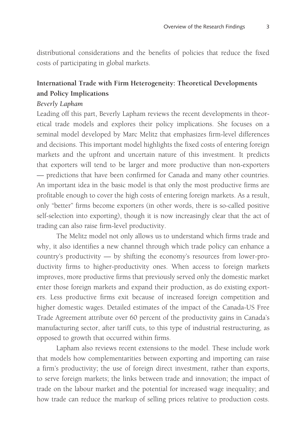distributional considerations and the benefits of policies that reduce the fixed costs of participating in global markets.

# **International Trade with Firm Heterogeneity: Theoretical Developments and Policy Implications**

### *Beverly Lapham*

Leading off this part, Beverly Lapham reviews the recent developments in theoretical trade models and explores their policy implications. She focuses on a seminal model developed by Marc Melitz that emphasizes firm-level differences and decisions. This important model highlights the fixed costs of entering foreign markets and the upfront and uncertain nature of this investment. It predicts that exporters will tend to be larger and more productive than non-exporters — predictions that have been confirmed for Canada and many other countries. An important idea in the basic model is that only the most productive firms are profitable enough to cover the high costs of entering foreign markets. As a result, only "better" firms become exporters (in other words, there is so-called positive self-selection into exporting), though it is now increasingly clear that the act of trading can also raise firm-level productivity.

The Melitz model not only allows us to understand which firms trade and why, it also identifies a new channel through which trade policy can enhance a country's productivity — by shifting the economy's resources from lower-productivity firms to higher-productivity ones. When access to foreign markets improves, more productive firms that previously served only the domestic market enter those foreign markets and expand their production, as do existing exporters. Less productive firms exit because of increased foreign competition and higher domestic wages. Detailed estimates of the impact of the Canada-US Free Trade Agreement attribute over 60 percent of the productivity gains in Canada's manufacturing sector, after tariff cuts, to this type of industrial restructuring, as opposed to growth that occurred within firms.

Lapham also reviews recent extensions to the model. These include work that models how complementarities between exporting and importing can raise a firm's productivity; the use of foreign direct investment, rather than exports, to serve foreign markets; the links between trade and innovation; the impact of trade on the labour market and the potential for increased wage inequality; and how trade can reduce the markup of selling prices relative to production costs.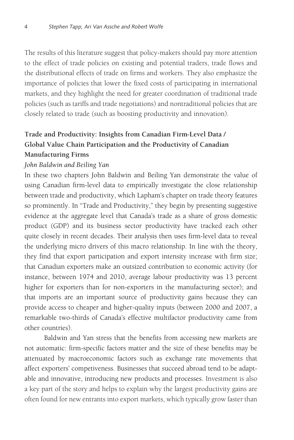The results of this literature suggest that policy-makers should pay more attention to the effect of trade policies on existing and potential traders, trade flows and the distributional effects of trade on firms and workers. They also emphasize the importance of policies that lower the fixed costs of participating in international markets, and they highlight the need for greater coordination of traditional trade policies (such as tariffs and trade negotiations) and nontraditional policies that are closely related to trade (such as boosting productivity and innovation).

# **Trade and Productivity: Insights from Canadian Firm-Level Data / Global Value Chain Participation and the Productivity of Canadian Manufacturing Firms**

#### *John Baldwin and Beiling Yan*

In these two chapters John Baldwin and Beiling Yan demonstrate the value of using Canadian firm-level data to empirically investigate the close relationship between trade and productivity, which Lapham's chapter on trade theory features so prominently. In "Trade and Productivity," they begin by presenting suggestive evidence at the aggregate level that Canada's trade as a share of gross domestic product (GDP) and its business sector productivity have tracked each other quite closely in recent decades. Their analysis then uses firm-level data to reveal the underlying micro drivers of this macro relationship. In line with the theory, they find that export participation and export intensity increase with firm size; that Canadian exporters make an outsized contribution to economic activity (for instance, between 1974 and 2010, average labour productivity was 13 percent higher for exporters than for non-exporters in the manufacturing sector); and that imports are an important source of productivity gains because they can provide access to cheaper and higher-quality inputs (between 2000 and 2007, a remarkable two-thirds of Canada's effective multifactor productivity came from other countries).

Baldwin and Yan stress that the benefits from accessing new markets are not automatic: firm-specific factors matter and the size of these benefits may be attenuated by macroeconomic factors such as exchange rate movements that affect exporters' competiveness. Businesses that succeed abroad tend to be adaptable and innovative, introducing new products and processes. Investment is also a key part of the story and helps to explain why the largest productivity gains are often found for new entrants into export markets, which typically grow faster than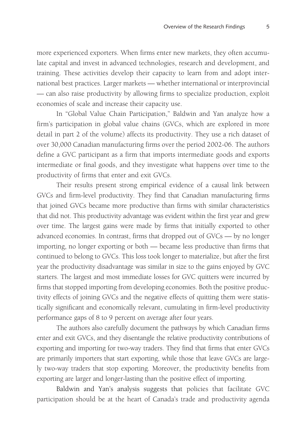more experienced exporters. When firms enter new markets, they often accumulate capital and invest in advanced technologies, research and development, and training. These activities develop their capacity to learn from and adopt international best practices. Larger markets — whether international or interprovincial — can also raise productivity by allowing firms to specialize production, exploit economies of scale and increase their capacity use.

In "Global Value Chain Participation," Baldwin and Yan analyze how a firm's participation in global value chains (GVCs, which are explored in more detail in part 2 of the volume) affects its productivity. They use a rich dataset of over 30,000 Canadian manufacturing firms over the period 2002-06. The authors define a GVC participant as a firm that imports intermediate goods and exports intermediate or final goods, and they investigate what happens over time to the productivity of firms that enter and exit GVCs.

Their results present strong empirical evidence of a causal link between GVCs and firm-level productivity. They find that Canadian manufacturing firms that joined GVCs became more productive than firms with similar characteristics that did not. This productivity advantage was evident within the first year and grew over time. The largest gains were made by firms that initially exported to other advanced economies. In contrast, firms that dropped out of GVCs — by no longer importing, no longer exporting or both — became less productive than firms that continued to belong to GVCs. This loss took longer to materialize, but after the first year the productivity disadvantage was similar in size to the gains enjoyed by GVC starters. The largest and most immediate losses for GVC quitters were incurred by firms that stopped importing from developing economies. Both the positive productivity effects of joining GVCs and the negative effects of quitting them were statistically significant and economically relevant, cumulating in firm-level productivity performance gaps of 8 to 9 percent on average after four years.

The authors also carefully document the pathways by which Canadian firms enter and exit GVCs, and they disentangle the relative productivity contributions of exporting and importing for two-way traders. They find that firms that enter GVCs are primarily importers that start exporting, while those that leave GVCs are largely two-way traders that stop exporting. Moreover, the productivity benefits from exporting are larger and longer-lasting than the positive effect of importing.

Baldwin and Yan's analysis suggests that policies that facilitate GVC participation should be at the heart of Canada's trade and productivity agenda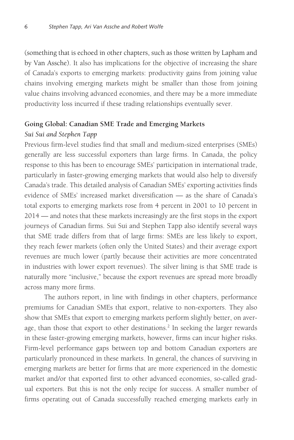(something that is echoed in other chapters, such as those written by Lapham and by Van Assche). It also has implications for the objective of increasing the share of Canada's exports to emerging markets: productivity gains from joining value chains involving emerging markets might be smaller than those from joining value chains involving advanced economies, and there may be a more immediate productivity loss incurred if these trading relationships eventually sever.

#### **Going Global: Canadian SME Trade and Emerging Markets**

#### *Sui Sui and Stephen Tapp*

Previous firm-level studies find that small and medium-sized enterprises (SMEs) generally are less successful exporters than large firms. In Canada, the policy response to this has been to encourage SMEs' participation in international trade, particularly in faster-growing emerging markets that would also help to diversify Canada's trade. This detailed analysis of Canadian SMEs' exporting activities finds evidence of SMEs' increased market diversification — as the share of Canada's total exports to emerging markets rose from 4 percent in 2001 to 10 percent in 2014 — and notes that these markets increasingly are the first stops in the export journeys of Canadian firms. Sui Sui and Stephen Tapp also identify several ways that SME trade differs from that of large firms: SMEs are less likely to export, they reach fewer markets (often only the United States) and their average export revenues are much lower (partly because their activities are more concentrated in industries with lower export revenues). The silver lining is that SME trade is naturally more "inclusive," because the export revenues are spread more broadly across many more firms.

The authors report, in line with findings in other chapters, performance premiums for Canadian SMEs that export, relative to non-exporters. They also show that SMEs that export to emerging markets perform slightly better, on average, than those that export to other destinations.<sup>2</sup> In seeking the larger rewards in these faster-growing emerging markets, however, firms can incur higher risks. Firm-level performance gaps between top and bottom Canadian exporters are particularly pronounced in these markets. In general, the chances of surviving in emerging markets are better for firms that are more experienced in the domestic market and/or that exported first to other advanced economies, so-called gradual exporters. But this is not the only recipe for success. A smaller number of firms operating out of Canada successfully reached emerging markets early in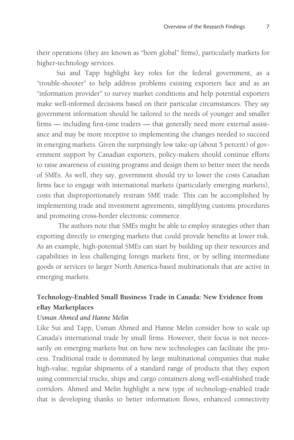their operations (they are known as "born global" firms), particularly markets for higher-technology services.

Sui and Tapp highlight key roles for the federal government, as a "trouble-shooter" to help address problems existing exporters face and as an "information provider" to survey market conditions and help potential exporters make well-informed decisions based on their particular circumstances. They say government information should be tailored to the needs of younger and smaller firms — including first-time traders — that generally need more external assistance and may be more receptive to implementing the changes needed to succeed in emerging markets. Given the surprisingly low take-up (about 5 percent) of government support by Canadian exporters, policy-makers should continue efforts to raise awareness of existing programs and design them to better meet the needs of SMEs. As well, they say, government should try to lower the costs Canadian firms face to engage with international markets (particularly emerging markets), costs that disproportionately restrain SME trade. This can be accomplished by implementing trade and investment agreements, simplifying customs procedures and promoting cross-border electronic commerce.

 The authors note that SMEs might be able to employ strategies other than exporting directly to emerging markets that could provide benefits at lower risk. As an example, high-potential SMEs can start by building up their resources and capabilities in less challenging foreign markets first, or by selling intermediate goods or services to larger North America-based multinationals that are active in emerging markets.

# **Technology-Enabled Small Business Trade in Canada: New Evidence from eBay Marketplaces**

### *Usman Ahmed and Hanne Melin*

Like Sui and Tapp, Usman Ahmed and Hanne Melin consider how to scale up Canada's international trade by small firms. However, their focus is not necessarily on emerging markets but on how new technologies can facilitate the process. Traditional trade is dominated by large multinational companies that make high-value, regular shipments of a standard range of products that they export using commercial trucks, ships and cargo containers along well-established trade corridors. Ahmed and Melin highlight a new type of technology-enabled trade that is developing thanks to better information flows, enhanced connectivity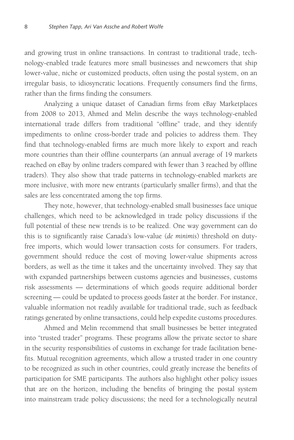and growing trust in online transactions. In contrast to traditional trade, technology-enabled trade features more small businesses and newcomers that ship lower-value, niche or customized products, often using the postal system, on an irregular basis, to idiosyncratic locations. Frequently consumers find the firms, rather than the firms finding the consumers.

Analyzing a unique dataset of Canadian firms from eBay Marketplaces from 2008 to 2013, Ahmed and Melin describe the ways technology-enabled international trade differs from traditional "offline" trade, and they identify impediments to online cross-border trade and policies to address them. They find that technology-enabled firms are much more likely to export and reach more countries than their offline counterparts (an annual average of 19 markets reached on eBay by online traders compared with fewer than 3 reached by offline traders). They also show that trade patterns in technology-enabled markets are more inclusive, with more new entrants (particularly smaller firms), and that the sales are less concentrated among the top firms.

They note, however, that technology-enabled small businesses face unique challenges, which need to be acknowledged in trade policy discussions if the full potential of these new trends is to be realized. One way government can do this is to significantly raise Canada's low-value (*de minimis*) threshold on dutyfree imports, which would lower transaction costs for consumers. For traders, government should reduce the cost of moving lower-value shipments across borders, as well as the time it takes and the uncertainty involved. They say that with expanded partnerships between customs agencies and businesses, customs risk assessments — determinations of which goods require additional border screening - could be updated to process goods faster at the border. For instance, valuable information not readily available for traditional trade, such as feedback ratings generated by online transactions, could help expedite customs procedures.

Ahmed and Melin recommend that small businesses be better integrated into "trusted trader" programs. These programs allow the private sector to share in the security responsibilities of customs in exchange for trade facilitation benefits. Mutual recognition agreements, which allow a trusted trader in one country to be recognized as such in other countries, could greatly increase the benefits of participation for SME participants. The authors also highlight other policy issues that are on the horizon, including the benefits of bringing the postal system into mainstream trade policy discussions; the need for a technologically neutral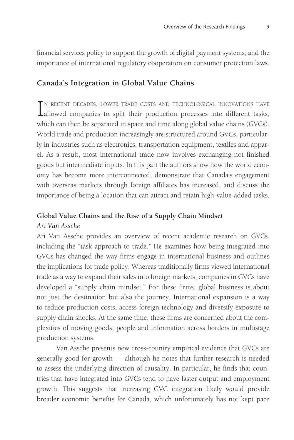financial services policy to support the growth of digital payment systems; and the importance of international regulatory cooperation on consumer protection laws.

### **Canada's Integration in Global Value Chains**

IN RECENT DECADES, LOWER TRADE COSTS AND TECHNOLOGICAL INNOVATIONS HAVE allowed companies to split their production processes into different tasks, n recent decades, lower trade costs and technological innovations have which can then be separated in space and time along global value chains (GVCs). World trade and production increasingly are structured around GVCs, particularly in industries such as electronics, transportation equipment, textiles and apparel. As a result, most international trade now involves exchanging not finished goods but intermediate inputs. In this part the authors show how the world economy has become more interconnected, demonstrate that Canada's engagement with overseas markets through foreign affiliates has increased, and discuss the importance of being a location that can attract and retain high-value-added tasks.

### **Global Value Chains and the Rise of a Supply Chain Mindset**

#### *Ari Van Assche*

Ari Van Assche provides an overview of recent academic research on GVCs, including the "task approach to trade." He examines how being integrated into GVCs has changed the way firms engage in international business and outlines the implications for trade policy. Whereas traditionally firms viewed international trade as a way to expand their sales into foreign markets, companies in GVCs have developed a "supply chain mindset." For these firms, global business is about not just the destination but also the journey. International expansion is a way to reduce production costs, access foreign technology and diversify exposure to supply chain shocks. At the same time, these firms are concerned about the complexities of moving goods, people and information across borders in multistage production systems.

Van Assche presents new cross-country empirical evidence that GVCs are generally good for growth — although he notes that further research is needed to assess the underlying direction of causality. In particular, he finds that countries that have integrated into GVCs tend to have faster output and employment growth. This suggests that increasing GVC integration likely would provide broader economic benefits for Canada, which unfortunately has not kept pace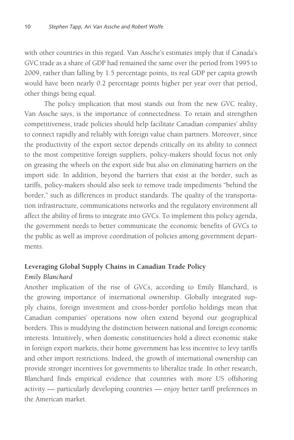with other countries in this regard. Van Assche's estimates imply that if Canada's GVC trade as a share of GDP had remained the same over the period from 1995 to 2009, rather than falling by 1.5 percentage points, its real GDP per capita growth would have been nearly 0.2 percentage points higher per year over that period, other things being equal.

The policy implication that most stands out from the new GVC reality, Van Assche says, is the importance of connectedness. To retain and strengthen competitiveness, trade policies should help facilitate Canadian companies' ability to connect rapidly and reliably with foreign value chain partners. Moreover, since the productivity of the export sector depends critically on its ability to connect to the most competitive foreign suppliers, policy-makers should focus not only on greasing the wheels on the export side but also on eliminating barriers on the import side. In addition, beyond the barriers that exist at the border, such as tariffs, policy-makers should also seek to remove trade impediments "behind the border," such as differences in product standards. The quality of the transportation infrastructure, communications networks and the regulatory environment all affect the ability of firms to integrate into GVCs. To implement this policy agenda, the government needs to better communicate the economic benefits of GVCs to the public as well as improve coordination of policies among government departments.

# **Leveraging Global Supply Chains in Canadian Trade Policy** *Emily Blanchard*

Another implication of the rise of GVCs, according to Emily Blanchard, is the growing importance of international ownership. Globally integrated supply chains, foreign investment and cross-border portfolio holdings mean that Canadian companies' operations now often extend beyond our geographical borders. This is muddying the distinction between national and foreign economic interests. Intuitively, when domestic constituencies hold a direct economic stake in foreign export markets, their home government has less incentive to levy tariffs and other import restrictions. Indeed, the growth of international ownership can provide stronger incentives for governments to liberalize trade. In other research, Blanchard finds empirical evidence that countries with more US offshoring activity — particularly developing countries — enjoy better tariff preferences in the American market.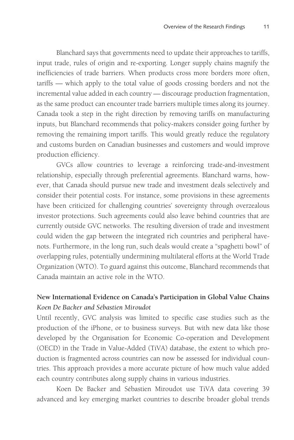Blanchard says that governments need to update their approaches to tariffs, input trade, rules of origin and re-exporting. Longer supply chains magnify the inefficiencies of trade barriers. When products cross more borders more often, tariffs — which apply to the total value of goods crossing borders and not the incremental value added in each country — discourage production fragmentation, as the same product can encounter trade barriers multiple times along its journey. Canada took a step in the right direction by removing tariffs on manufacturing inputs, but Blanchard recommends that policy-makers consider going further by removing the remaining import tariffs. This would greatly reduce the regulatory and customs burden on Canadian businesses and customers and would improve production efficiency.

GVCs allow countries to leverage a reinforcing trade-and-investment relationship, especially through preferential agreements. Blanchard warns, however, that Canada should pursue new trade and investment deals selectively and consider their potential costs. For instance, some provisions in these agreements have been criticized for challenging countries' sovereignty through overzealous investor protections. Such agreements could also leave behind countries that are currently outside GVC networks. The resulting diversion of trade and investment could widen the gap between the integrated rich countries and peripheral havenots. Furthermore, in the long run, such deals would create a "spaghetti bowl" of overlapping rules, potentially undermining multilateral efforts at the World Trade Organization (WTO). To guard against this outcome, Blanchard recommends that Canada maintain an active role in the WTO.

# **New International Evidence on Canada's Participation in Global Value Chains** *Koen De Backer and Sébastien Miroudot*

Until recently, GVC analysis was limited to specific case studies such as the production of the iPhone, or to business surveys. But with new data like those developed by the Organisation for Economic Co-operation and Development (OECD) in the Trade in Value-Added (TiVA) database, the extent to which production is fragmented across countries can now be assessed for individual countries. This approach provides a more accurate picture of how much value added each country contributes along supply chains in various industries.

Koen De Backer and Sébastien Miroudot use TiVA data covering 39 advanced and key emerging market countries to describe broader global trends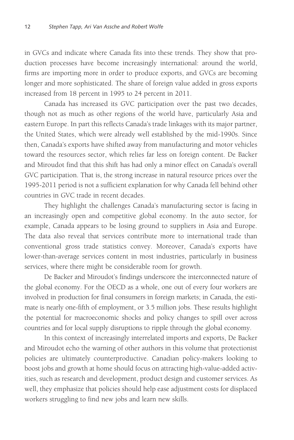in GVCs and indicate where Canada fits into these trends. They show that production processes have become increasingly international: around the world, firms are importing more in order to produce exports, and GVCs are becoming longer and more sophisticated. The share of foreign value added in gross exports increased from 18 percent in 1995 to 24 percent in 2011.

Canada has increased its GVC participation over the past two decades, though not as much as other regions of the world have, particularly Asia and eastern Europe. In part this reflects Canada's trade linkages with its major partner, the United States, which were already well established by the mid-1990s. Since then, Canada's exports have shifted away from manufacturing and motor vehicles toward the resources sector, which relies far less on foreign content. De Backer and Miroudot find that this shift has had only a minor effect on Canada's overall GVC participation. That is, the strong increase in natural resource prices over the 1995-2011 period is not a sufficient explanation for why Canada fell behind other countries in GVC trade in recent decades.

They highlight the challenges Canada's manufacturing sector is facing in an increasingly open and competitive global economy. In the auto sector, for example, Canada appears to be losing ground to suppliers in Asia and Europe. The data also reveal that services contribute more to international trade than conventional gross trade statistics convey. Moreover, Canada's exports have lower-than-average services content in most industries, particularly in business services, where there might be considerable room for growth.

De Backer and Miroudot's findings underscore the interconnected nature of the global economy. For the OECD as a whole, one out of every four workers are involved in production for final consumers in foreign markets; in Canada, the estimate is nearly one-fifth of employment, or 3.5 million jobs. These results highlight the potential for macroeconomic shocks and policy changes to spill over across countries and for local supply disruptions to ripple through the global economy.

In this context of increasingly interrelated imports and exports, De Backer and Miroudot echo the warning of other authors in this volume that protectionist policies are ultimately counterproductive. Canadian policy-makers looking to boost jobs and growth at home should focus on attracting high-value-added activities, such as research and development, product design and customer services. As well, they emphasize that policies should help ease adjustment costs for displaced workers struggling to find new jobs and learn new skills.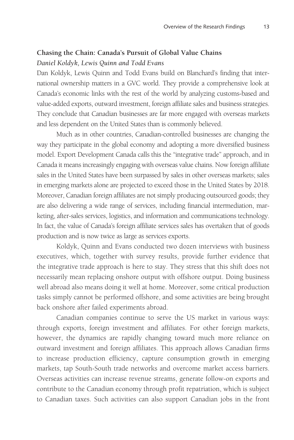### **Chasing the Chain: Canada's Pursuit of Global Value Chains** *Daniel Koldyk, Lewis Quinn and Todd Evans*

Dan Koldyk, Lewis Quinn and Todd Evans build on Blanchard's finding that international ownership matters in a GVC world. They provide a comprehensive look at Canada's economic links with the rest of the world by analyzing customs-based and value-added exports, outward investment, foreign affiliate sales and business strategies. They conclude that Canadian businesses are far more engaged with overseas markets and less dependent on the United States than is commonly believed.

Much as in other countries, Canadian-controlled businesses are changing the way they participate in the global economy and adopting a more diversified business model. Export Development Canada calls this the "integrative trade" approach, and in Canada it means increasingly engaging with overseas value chains. Now foreign affiliate sales in the United States have been surpassed by sales in other overseas markets; sales in emerging markets alone are projected to exceed those in the United States by 2018. Moreover, Canadian foreign affiliates are not simply producing outsourced goods; they are also delivering a wide range of services, including financial intermediation, marketing, after-sales services, logistics, and information and communications technology. In fact, the value of Canada's foreign affiliate services sales has overtaken that of goods production and is now twice as large as services exports.

Koldyk, Quinn and Evans conducted two dozen interviews with business executives, which, together with survey results, provide further evidence that the integrative trade approach is here to stay. They stress that this shift does not necessarily mean replacing onshore output with offshore output. Doing business well abroad also means doing it well at home. Moreover, some critical production tasks simply cannot be performed offshore, and some activities are being brought back onshore after failed experiments abroad.

Canadian companies continue to serve the US market in various ways: through exports, foreign investment and affiliates. For other foreign markets, however, the dynamics are rapidly changing toward much more reliance on outward investment and foreign affiliates. This approach allows Canadian firms to increase production efficiency, capture consumption growth in emerging markets, tap South-South trade networks and overcome market access barriers. Overseas activities can increase revenue streams, generate follow-on exports and contribute to the Canadian economy through profit repatriation, which is subject to Canadian taxes. Such activities can also support Canadian jobs in the front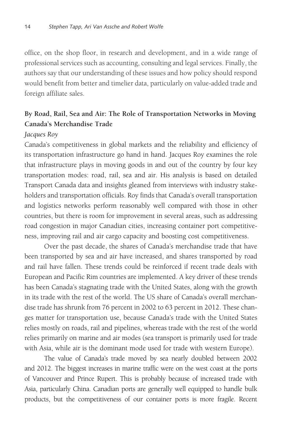office, on the shop floor, in research and development, and in a wide range of professional services such as accounting, consulting and legal services. Finally, the authors say that our understanding of these issues and how policy should respond would benefit from better and timelier data, particularly on value-added trade and foreign affiliate sales.

### **By Road, Rail, Sea and Air: The Role of Transportation Networks in Moving Canada's Merchandise Trade**

#### *Jacques Roy*

Canada's competitiveness in global markets and the reliability and efficiency of its transportation infrastructure go hand in hand. Jacques Roy examines the role that infrastructure plays in moving goods in and out of the country by four key transportation modes: road, rail, sea and air. His analysis is based on detailed Transport Canada data and insights gleaned from interviews with industry stakeholders and transportation officials. Roy finds that Canada's overall transportation and logistics networks perform reasonably well compared with those in other countries, but there is room for improvement in several areas, such as addressing road congestion in major Canadian cities, increasing container port competitiveness, improving rail and air cargo capacity and boosting cost competitiveness.

Over the past decade, the shares of Canada's merchandise trade that have been transported by sea and air have increased, and shares transported by road and rail have fallen. These trends could be reinforced if recent trade deals with European and Pacific Rim countries are implemented. A key driver of these trends has been Canada's stagnating trade with the United States, along with the growth in its trade with the rest of the world. The US share of Canada's overall merchandise trade has shrunk from 76 percent in 2002 to 63 percent in 2012. These changes matter for transportation use, because Canada's trade with the United States relies mostly on roads, rail and pipelines, whereas trade with the rest of the world relies primarily on marine and air modes (sea transport is primarily used for trade with Asia, while air is the dominant mode used for trade with western Europe).

The value of Canada's trade moved by sea nearly doubled between 2002 and 2012. The biggest increases in marine traffic were on the west coast at the ports of Vancouver and Prince Rupert. This is probably because of increased trade with Asia, particularly China. Canadian ports are generally well equipped to handle bulk products, but the competitiveness of our container ports is more fragile. Recent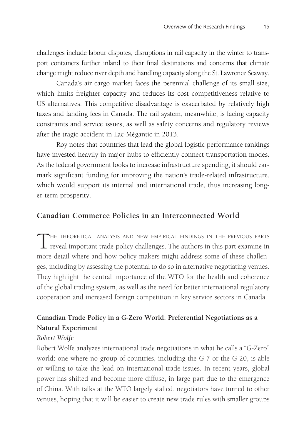challenges include labour disputes, disruptions in rail capacity in the winter to transport containers further inland to their final destinations and concerns that climate change might reduce river depth and handling capacity along the St. Lawrence Seaway.

Canada's air cargo market faces the perennial challenge of its small size, which limits freighter capacity and reduces its cost competitiveness relative to US alternatives. This competitive disadvantage is exacerbated by relatively high taxes and landing fees in Canada. The rail system, meanwhile, is facing capacity constraints and service issues, as well as safety concerns and regulatory reviews after the tragic accident in Lac-Mégantic in 2013.

Roy notes that countries that lead the global logistic performance rankings have invested heavily in major hubs to efficiently connect transportation modes. As the federal government looks to increase infrastructure spending, it should earmark significant funding for improving the nation's trade-related infrastructure, which would support its internal and international trade, thus increasing longer-term prosperity.

### **Canadian Commerce Policies in an Interconnected World**

THE THEORETICAL ANALYSIS AND NEW EMPIRICAL FINDINGS IN THE PREVIOUS PARTS reveal important trade policy challenges. The authors in this part examine in more detail where and how policy-makers might address some of these challenges, including by assessing the potential to do so in alternative negotiating venues. They highlight the central importance of the WTO for the health and coherence of the global trading system, as well as the need for better international regulatory cooperation and increased foreign competition in key service sectors in Canada.

# **Canadian Trade Policy in a G-Zero World: Preferential Negotiations as a Natural Experiment**

#### *Robert Wolfe*

Robert Wolfe analyzes international trade negotiations in what he calls a "G-Zero" world: one where no group of countries, including the G-7 or the G-20, is able or willing to take the lead on international trade issues. In recent years, global power has shifted and become more diffuse, in large part due to the emergence of China. With talks at the WTO largely stalled, negotiators have turned to other venues, hoping that it will be easier to create new trade rules with smaller groups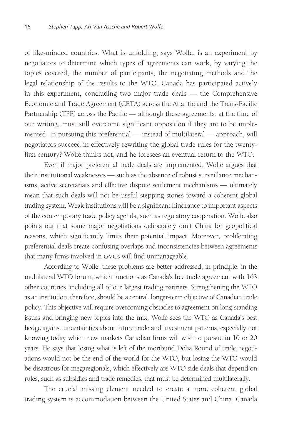of like-minded countries. What is unfolding, says Wolfe, is an experiment by negotiators to determine which types of agreements can work, by varying the topics covered, the number of participants, the negotiating methods and the legal relationship of the results to the WTO. Canada has participated actively in this experiment, concluding two major trade deals — the Comprehensive Economic and Trade Agreement (CETA) across the Atlantic and the Trans-Pacific Partnership (TPP) across the Pacific — although these agreements, at the time of our writing, must still overcome significant opposition if they are to be implemented. In pursuing this preferential — instead of multilateral — approach, will negotiators succeed in effectively rewriting the global trade rules for the twentyfirst century? Wolfe thinks not, and he foresees an eventual return to the WTO.

Even if major preferential trade deals are implemented, Wolfe argues that their institutional weaknesses — such as the absence of robust surveillance mechanisms, active secretariats and effective dispute settlement mechanisms — ultimately mean that such deals will not be useful stepping stones toward a coherent global trading system. Weak institutions will be a significant hindrance to important aspects of the contemporary trade policy agenda, such as regulatory cooperation. Wolfe also points out that some major negotiations deliberately omit China for geopolitical reasons, which significantly limits their potential impact. Moreover, proliferating preferential deals create confusing overlaps and inconsistencies between agreements that many firms involved in GVCs will find unmanageable.

According to Wolfe, these problems are better addressed, in principle, in the multilateral WTO forum, which functions as Canada's free trade agreement with 163 other countries, including all of our largest trading partners. Strengthening the WTO as an institution, therefore, should be a central, longer-term objective of Canadian trade policy. This objective will require overcoming obstacles to agreement on long-standing issues and bringing new topics into the mix. Wolfe sees the WTO as Canada's best hedge against uncertainties about future trade and investment patterns, especially not knowing today which new markets Canadian firms will wish to pursue in 10 or 20 years. He says that losing what is left of the moribund Doha Round of trade negotiations would not be the end of the world for the WTO, but losing the WTO would be disastrous for megaregionals, which effectively are WTO side deals that depend on rules, such as subsidies and trade remedies, that must be determined multilaterally.

The crucial missing element needed to create a more coherent global trading system is accommodation between the United States and China. Canada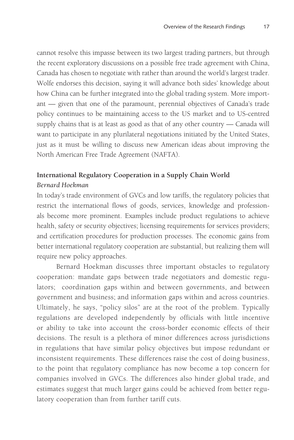cannot resolve this impasse between its two largest trading partners, but through the recent exploratory discussions on a possible free trade agreement with China, Canada has chosen to negotiate with rather than around the world's largest trader. Wolfe endorses this decision, saying it will advance both sides' knowledge about how China can be further integrated into the global trading system. More important — given that one of the paramount, perennial objectives of Canada's trade policy continues to be maintaining access to the US market and to US-centred supply chains that is at least as good as that of any other country — Canada will want to participate in any plurilateral negotiations initiated by the United States, just as it must be willing to discuss new American ideas about improving the North American Free Trade Agreement (NAFTA).

# **International Regulatory Cooperation in a Supply Chain World** *Bernard Hoekman*

In today's trade environment of GVCs and low tariffs, the regulatory policies that restrict the international flows of goods, services, knowledge and professionals become more prominent. Examples include product regulations to achieve health, safety or security objectives; licensing requirements for services providers; and certification procedures for production processes. The economic gains from better international regulatory cooperation are substantial, but realizing them will require new policy approaches.

Bernard Hoekman discusses three important obstacles to regulatory cooperation: mandate gaps between trade negotiators and domestic regulators; coordination gaps within and between governments, and between government and business; and information gaps within and across countries. Ultimately, he says, "policy silos" are at the root of the problem. Typically regulations are developed independently by officials with little incentive or ability to take into account the cross-border economic effects of their decisions. The result is a plethora of minor differences across jurisdictions in regulations that have similar policy objectives but impose redundant or inconsistent requirements. These differences raise the cost of doing business, to the point that regulatory compliance has now become a top concern for companies involved in GVCs. The differences also hinder global trade, and estimates suggest that much larger gains could be achieved from better regulatory cooperation than from further tariff cuts.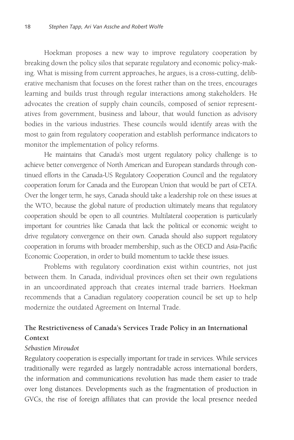Hoekman proposes a new way to improve regulatory cooperation by breaking down the policy silos that separate regulatory and economic policy-making. What is missing from current approaches, he argues, is a cross-cutting, deliberative mechanism that focuses on the forest rather than on the trees, encourages learning and builds trust through regular interactions among stakeholders. He advocates the creation of supply chain councils, composed of senior representatives from government, business and labour, that would function as advisory bodies in the various industries. These councils would identify areas with the most to gain from regulatory cooperation and establish performance indicators to monitor the implementation of policy reforms.

He maintains that Canada's most urgent regulatory policy challenge is to achieve better convergence of North American and European standards through continued efforts in the Canada-US Regulatory Cooperation Council and the regulatory cooperation forum for Canada and the European Union that would be part of CETA. Over the longer term, he says, Canada should take a leadership role on these issues at the WTO, because the global nature of production ultimately means that regulatory cooperation should be open to all countries. Multilateral cooperation is particularly important for countries like Canada that lack the political or economic weight to drive regulatory convergence on their own. Canada should also support regulatory cooperation in forums with broader membership, such as the OECD and Asia-Pacific Economic Cooperation, in order to build momentum to tackle these issues.

Problems with regulatory coordination exist within countries, not just between them. In Canada, individual provinces often set their own regulations in an uncoordinated approach that creates internal trade barriers. Hoekman recommends that a Canadian regulatory cooperation council be set up to help modernize the outdated Agreement on Internal Trade.

# **The Restrictiveness of Canada's Services Trade Policy in an International Context**

#### *Sébastien Miroudot*

Regulatory cooperation is especially important for trade in services. While services traditionally were regarded as largely nontradable across international borders, the information and communications revolution has made them easier to trade over long distances. Developments such as the fragmentation of production in GVCs, the rise of foreign affiliates that can provide the local presence needed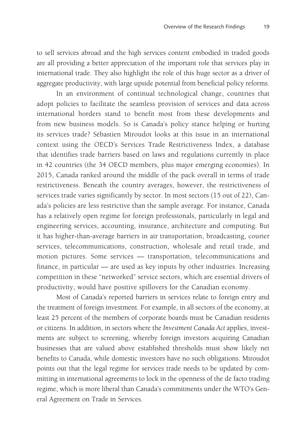to sell services abroad and the high services content embodied in traded goods are all providing a better appreciation of the important role that services play in international trade. They also highlight the role of this huge sector as a driver of aggregate productivity, with large upside potential from beneficial policy reforms.

In an environment of continual technological change, countries that adopt policies to facilitate the seamless provision of services and data across international borders stand to benefit most from these developments and from new business models. So is Canada's policy stance helping or hurting its services trade? Sébastien Miroudot looks at this issue in an international context using the OECD's Services Trade Restrictiveness Index, a database that identifies trade barriers based on laws and regulations currently in place in 42 countries (the 34 OECD members, plus major emerging economies). In 2015, Canada ranked around the middle of the pack overall in terms of trade restrictiveness. Beneath the country averages, however, the restrictiveness of services trade varies significantly by sector. In most sectors (15 out of 22), Canada's policies are less restrictive than the sample average. For instance, Canada has a relatively open regime for foreign professionals, particularly in legal and engineering services, accounting, insurance, architecture and computing. But it has higher-than-average barriers in air transportation, broadcasting, courier services, telecommunications, construction, wholesale and retail trade, and motion pictures. Some services — transportation, telecommunications and finance, in particular — are used as key inputs by other industries. Increasing competition in these "networked" service sectors, which are essential drivers of productivity, would have positive spillovers for the Canadian economy.

Most of Canada's reported barriers in services relate to foreign entry and the treatment of foreign investment. For example, in all sectors of the economy, at least 25 percent of the members of corporate boards must be Canadian residents or citizens. In addition, in sectors where the *Investment Canada Act* applies, investments are subject to screening, whereby foreign investors acquiring Canadian businesses that are valued above established thresholds must show likely net benefits to Canada, while domestic investors have no such obligations. Miroudot points out that the legal regime for services trade needs to be updated by committing in international agreements to lock in the openness of the de facto trading regime, which is more liberal than Canada's commitments under the WTO's General Agreement on Trade in Services.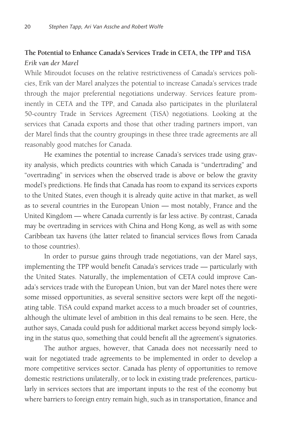# **The Potential to Enhance Canada's Services Trade in CETA, the TPP and TiSA** *Erik van der Marel*

While Miroudot focuses on the relative restrictiveness of Canada's services policies, Erik van der Marel analyzes the potential to increase Canada's services trade through the major preferential negotiations underway. Services feature prominently in CETA and the TPP, and Canada also participates in the plurilateral 50-country Trade in Services Agreement (TiSA) negotiations. Looking at the services that Canada exports and those that other trading partners import, van der Marel finds that the country groupings in these three trade agreements are all reasonably good matches for Canada.

He examines the potential to increase Canada's services trade using gravity analysis, which predicts countries with which Canada is "undertrading" and "overtrading" in services when the observed trade is above or below the gravity model's predictions. He finds that Canada has room to expand its services exports to the United States, even though it is already quite active in that market, as well as to several countries in the European Union — most notably, France and the United Kingdom — where Canada currently is far less active. By contrast, Canada may be overtrading in services with China and Hong Kong, as well as with some Caribbean tax havens (the latter related to financial services flows from Canada to those countries).

In order to pursue gains through trade negotiations, van der Marel says, implementing the TPP would benefit Canada's services trade — particularly with the United States. Naturally, the implementation of CETA could improve Canada's services trade with the European Union, but van der Marel notes there were some missed opportunities, as several sensitive sectors were kept off the negotiating table. TiSA could expand market access to a much broader set of countries, although the ultimate level of ambition in this deal remains to be seen. Here, the author says, Canada could push for additional market access beyond simply locking in the status quo, something that could benefit all the agreement's signatories.

The author argues, however, that Canada does not necessarily need to wait for negotiated trade agreements to be implemented in order to develop a more competitive services sector. Canada has plenty of opportunities to remove domestic restrictions unilaterally, or to lock in existing trade preferences, particularly in services sectors that are important inputs to the rest of the economy but where barriers to foreign entry remain high, such as in transportation, finance and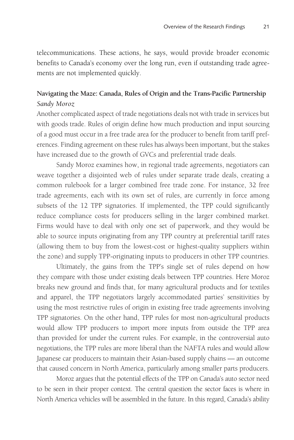telecommunications. These actions, he says, would provide broader economic benefits to Canada's economy over the long run, even if outstanding trade agreements are not implemented quickly.

# **Navigating the Maze: Canada, Rules of Origin and the Trans-Pacific Partnership** *Sandy Moroz*

Another complicated aspect of trade negotiations deals not with trade in services but with goods trade. Rules of origin define how much production and input sourcing of a good must occur in a free trade area for the producer to benefit from tariff preferences. Finding agreement on these rules has always been important, but the stakes have increased due to the growth of GVCs and preferential trade deals.

Sandy Moroz examines how, in regional trade agreements, negotiators can weave together a disjointed web of rules under separate trade deals, creating a common rulebook for a larger combined free trade zone. For instance, 32 free trade agreements, each with its own set of rules, are currently in force among subsets of the 12 TPP signatories. If implemented, the TPP could significantly reduce compliance costs for producers selling in the larger combined market. Firms would have to deal with only one set of paperwork, and they would be able to source inputs originating from any TPP country at preferential tariff rates (allowing them to buy from the lowest-cost or highest-quality suppliers within the zone) and supply TPP-originating inputs to producers in other TPP countries.

Ultimately, the gains from the TPP's single set of rules depend on how they compare with those under existing deals between TPP countries. Here Moroz breaks new ground and finds that, for many agricultural products and for textiles and apparel, the TPP negotiators largely accommodated parties' sensitivities by using the most restrictive rules of origin in existing free trade agreements involving TPP signatories. On the other hand, TPP rules for most non-agricultural products would allow TPP producers to import more inputs from outside the TPP area than provided for under the current rules. For example, in the controversial auto negotiations, the TPP rules are more liberal than the NAFTA rules and would allow Japanese car producers to maintain their Asian-based supply chains — an outcome that caused concern in North America, particularly among smaller parts producers.

Moroz argues that the potential effects of the TPP on Canada's auto sector need to be seen in their proper context. The central question the sector faces is where in North America vehicles will be assembled in the future. In this regard, Canada's ability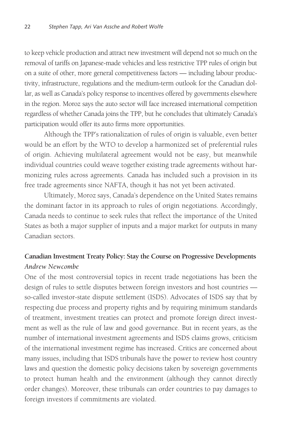to keep vehicle production and attract new investment will depend not so much on the removal of tariffs on Japanese-made vehicles and less restrictive TPP rules of origin but on a suite of other, more general competitiveness factors — including labour productivity, infrastructure, regulations and the medium-term outlook for the Canadian dollar, as well as Canada's policy response to incentives offered by governments elsewhere in the region. Moroz says the auto sector will face increased international competition regardless of whether Canada joins the TPP, but he concludes that ultimately Canada's participation would offer its auto firms more opportunities.

Although the TPP's rationalization of rules of origin is valuable, even better would be an effort by the WTO to develop a harmonized set of preferential rules of origin. Achieving multilateral agreement would not be easy, but meanwhile individual countries could weave together existing trade agreements without harmonizing rules across agreements. Canada has included such a provision in its free trade agreements since NAFTA, though it has not yet been activated.

Ultimately, Moroz says, Canada's dependence on the United States remains the dominant factor in its approach to rules of origin negotiations. Accordingly, Canada needs to continue to seek rules that reflect the importance of the United States as both a major supplier of inputs and a major market for outputs in many Canadian sectors.

# **Canadian Investment Treaty Policy: Stay the Course on Progressive Developments** *Andrew Newcombe*

One of the most controversial topics in recent trade negotiations has been the design of rules to settle disputes between foreign investors and host countries so-called investor-state dispute settlement (ISDS). Advocates of ISDS say that by respecting due process and property rights and by requiring minimum standards of treatment, investment treaties can protect and promote foreign direct investment as well as the rule of law and good governance. But in recent years, as the number of international investment agreements and ISDS claims grows, criticism of the international investment regime has increased. Critics are concerned about many issues, including that ISDS tribunals have the power to review host country laws and question the domestic policy decisions taken by sovereign governments to protect human health and the environment (although they cannot directly order changes). Moreover, these tribunals can order countries to pay damages to foreign investors if commitments are violated.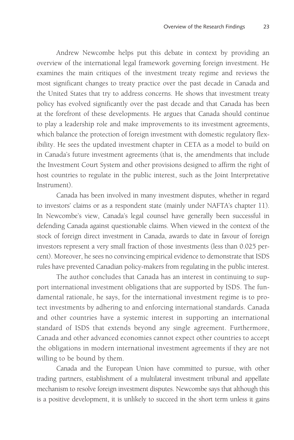Andrew Newcombe helps put this debate in context by providing an overview of the international legal framework governing foreign investment. He examines the main critiques of the investment treaty regime and reviews the most significant changes to treaty practice over the past decade in Canada and the United States that try to address concerns. He shows that investment treaty policy has evolved significantly over the past decade and that Canada has been at the forefront of these developments. He argues that Canada should continue to play a leadership role and make improvements to its investment agreements, which balance the protection of foreign investment with domestic regulatory flexibility. He sees the updated investment chapter in CETA as a model to build on in Canada's future investment agreements (that is, the amendments that include the Investment Court System and other provisions designed to affirm the right of host countries to regulate in the public interest, such as the Joint Interpretative Instrument).

Canada has been involved in many investment disputes, whether in regard to investors' claims or as a respondent state (mainly under NAFTA's chapter 11). In Newcombe's view, Canada's legal counsel have generally been successful in defending Canada against questionable claims. When viewed in the context of the stock of foreign direct investment in Canada, awards to date in favour of foreign investors represent a very small fraction of those investments (less than 0.025 percent). Moreover, he sees no convincing empirical evidence to demonstrate that ISDS rules have prevented Canadian policy-makers from regulating in the public interest.

The author concludes that Canada has an interest in continuing to support international investment obligations that are supported by ISDS. The fundamental rationale, he says, for the international investment regime is to protect investments by adhering to and enforcing international standards. Canada and other countries have a systemic interest in supporting an international standard of ISDS that extends beyond any single agreement. Furthermore, Canada and other advanced economies cannot expect other countries to accept the obligations in modern international investment agreements if they are not willing to be bound by them.

Canada and the European Union have committed to pursue, with other trading partners, establishment of a multilateral investment tribunal and appellate mechanism to resolve foreign investment disputes. Newcombe says that although this is a positive development, it is unlikely to succeed in the short term unless it gains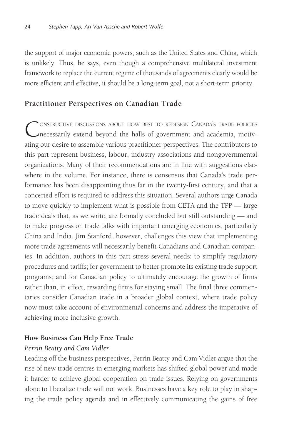the support of major economic powers, such as the United States and China, which is unlikely. Thus, he says, even though a comprehensive multilateral investment framework to replace the current regime of thousands of agreements clearly would be more efficient and effective, it should be a long-term goal, not a short-term priority.

### **Practitioner Perspectives on Canadian Trade**

CONSTRUCTIVE DISCUSSIONS ABOUT HOW BEST TO REDESIGN CANADA'S TRADE POLICIES<br>
necessarily extend beyond the halls of government and academia, motivating our desire to assemble various practitioner perspectives. The contributors to this part represent business, labour, industry associations and nongovernmental organizations. Many of their recommendations are in line with suggestions elsewhere in the volume. For instance, there is consensus that Canada's trade performance has been disappointing thus far in the twenty-first century, and that a concerted effort is required to address this situation. Several authors urge Canada to move quickly to implement what is possible from CETA and the TPP — large trade deals that, as we write, are formally concluded but still outstanding — and to make progress on trade talks with important emerging economies, particularly China and India. Jim Stanford, however, challenges this view that implementing more trade agreements will necessarily benefit Canadians and Canadian companies. In addition, authors in this part stress several needs: to simplify regulatory procedures and tariffs; for government to better promote its existing trade support programs; and for Canadian policy to ultimately encourage the growth of firms rather than, in effect, rewarding firms for staying small. The final three commentaries consider Canadian trade in a broader global context, where trade policy now must take account of environmental concerns and address the imperative of achieving more inclusive growth.

#### **How Business Can Help Free Trade**

#### *Perrin Beatty and Cam Vidler*

Leading off the business perspectives, Perrin Beatty and Cam Vidler argue that the rise of new trade centres in emerging markets has shifted global power and made it harder to achieve global cooperation on trade issues. Relying on governments alone to liberalize trade will not work. Businesses have a key role to play in shaping the trade policy agenda and in effectively communicating the gains of free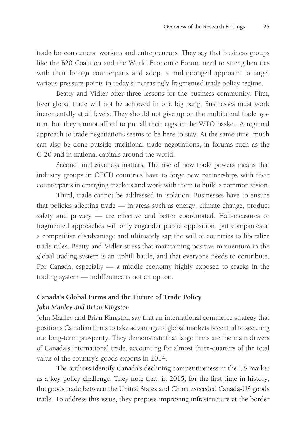trade for consumers, workers and entrepreneurs. They say that business groups like the B20 Coalition and the World Economic Forum need to strengthen ties with their foreign counterparts and adopt a multipronged approach to target various pressure points in today's increasingly fragmented trade policy regime.

Beatty and Vidler offer three lessons for the business community. First, freer global trade will not be achieved in one big bang. Businesses must work incrementally at all levels. They should not give up on the multilateral trade system, but they cannot afford to put all their eggs in the WTO basket. A regional approach to trade negotiations seems to be here to stay. At the same time, much can also be done outside traditional trade negotiations, in forums such as the G-20 and in national capitals around the world.

Second, inclusiveness matters. The rise of new trade powers means that industry groups in OECD countries have to forge new partnerships with their counterparts in emerging markets and work with them to build a common vision.

Third, trade cannot be addressed in isolation. Businesses have to ensure that policies affecting trade — in areas such as energy, climate change, product safety and privacy — are effective and better coordinated. Half-measures or fragmented approaches will only engender public opposition, put companies at a competitive disadvantage and ultimately sap the will of countries to liberalize trade rules. Beatty and Vidler stress that maintaining positive momentum in the global trading system is an uphill battle, and that everyone needs to contribute. For Canada, especially — a middle economy highly exposed to cracks in the trading system — indifference is not an option.

#### **Canada's Global Firms and the Future of Trade Policy**

#### *John Manley and Brian Kingston*

John Manley and Brian Kingston say that an international commerce strategy that positions Canadian firms to take advantage of global markets is central to securing our long-term prosperity. They demonstrate that large firms are the main drivers of Canada's international trade, accounting for almost three-quarters of the total value of the country's goods exports in 2014.

The authors identify Canada's declining competitiveness in the US market as a key policy challenge. They note that, in 2015, for the first time in history, the goods trade between the United States and China exceeded Canada-US goods trade. To address this issue, they propose improving infrastructure at the border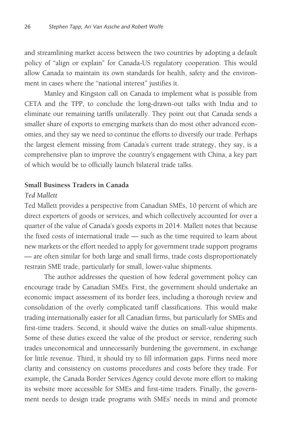and streamlining market access between the two countries by adopting a default policy of "align or explain" for Canada-US regulatory cooperation. This would allow Canada to maintain its own standards for health, safety and the environment in cases where the "national interest" justifies it.

Manley and Kingston call on Canada to implement what is possible from CETA and the TPP, to conclude the long-drawn-out talks with India and to eliminate our remaining tariffs unilaterally. They point out that Canada sends a smaller share of exports to emerging markets than do most other advanced economies, and they say we need to continue the efforts to diversify our trade. Perhaps the largest element missing from Canada's current trade strategy, they say, is a comprehensive plan to improve the country's engagement with China, a key part of which would be to officially launch bilateral trade talks.

#### **Small Business Traders in Canada**

#### *Ted Mallett*

Ted Mallett provides a perspective from Canadian SMEs, 10 percent of which are direct exporters of goods or services, and which collectively accounted for over a quarter of the value of Canada's goods exports in 2014. Mallett notes that because the fixed costs of international trade — such as the time required to learn about new markets or the effort needed to apply for government trade support programs — are often similar for both large and small firms, trade costs disproportionately restrain SME trade, particularly for small, lower-value shipments.

The author addresses the question of how federal government policy can encourage trade by Canadian SMEs. First, the government should undertake an economic impact assessment of its border fees, including a thorough review and consolidation of the overly complicated tariff classifications. This would make trading internationally easier for all Canadian firms, but particularly for SMEs and first-time traders. Second, it should waive the duties on small-value shipments. Some of these duties exceed the value of the product or service, rendering such trades uneconomical and unnecessarily burdening the government, in exchange for little revenue. Third, it should try to fill information gaps. Firms need more clarity and consistency on customs procedures and costs before they trade. For example, the Canada Border Services Agency could devote more effort to making its website more accessible for SMEs and first-time traders. Finally, the government needs to design trade programs with SMEs' needs in mind and promote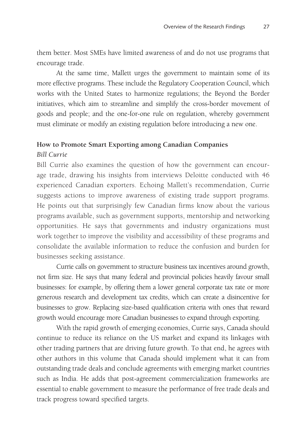them better. Most SMEs have limited awareness of and do not use programs that encourage trade.

At the same time, Mallett urges the government to maintain some of its more effective programs. These include the Regulatory Cooperation Council, which works with the United States to harmonize regulations; the Beyond the Border initiatives, which aim to streamline and simplify the cross-border movement of goods and people; and the one-for-one rule on regulation, whereby government must eliminate or modify an existing regulation before introducing a new one.

#### **How to Promote Smart Exporting among Canadian Companies**

#### *Bill Currie*

Bill Currie also examines the question of how the government can encourage trade, drawing his insights from interviews Deloitte conducted with 46 experienced Canadian exporters. Echoing Mallett's recommendation, Currie suggests actions to improve awareness of existing trade support programs. He points out that surprisingly few Canadian firms know about the various programs available, such as government supports, mentorship and networking opportunities. He says that governments and industry organizations must work together to improve the visibility and accessibility of these programs and consolidate the available information to reduce the confusion and burden for businesses seeking assistance.

Currie calls on government to structure business tax incentives around growth, not firm size. He says that many federal and provincial policies heavily favour small businesses: for example, by offering them a lower general corporate tax rate or more generous research and development tax credits, which can create a disincentive for businesses to grow. Replacing size-based qualification criteria with ones that reward growth would encourage more Canadian businesses to expand through exporting.

With the rapid growth of emerging economies, Currie says, Canada should continue to reduce its reliance on the US market and expand its linkages with other trading partners that are driving future growth. To that end, he agrees with other authors in this volume that Canada should implement what it can from outstanding trade deals and conclude agreements with emerging market countries such as India. He adds that post-agreement commercialization frameworks are essential to enable government to measure the performance of free trade deals and track progress toward specified targets.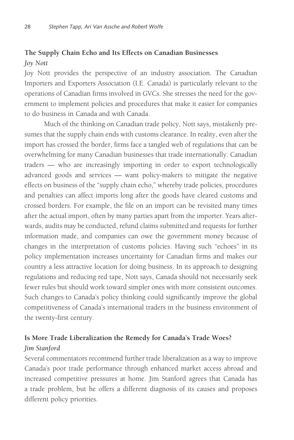# **The Supply Chain Echo and Its Effects on Canadian Businesses** *Joy Nott*

Joy Nott provides the perspective of an industry association. The Canadian Importers and Exporters Association (I.E. Canada) is particularly relevant to the operations of Canadian firms involved in GVCs. She stresses the need for the government to implement policies and procedures that make it easier for companies to do business in Canada and with Canada.

Much of the thinking on Canadian trade policy, Nott says, mistakenly presumes that the supply chain ends with customs clearance. In reality, even after the import has crossed the border, firms face a tangled web of regulations that can be overwhelming for many Canadian businesses that trade internationally. Canadian traders — who are increasingly importing in order to export technologically advanced goods and services — want policy-makers to mitigate the negative effects on business of the "supply chain echo," whereby trade policies, procedures and penalties can affect imports long after the goods have cleared customs and crossed borders. For example, the file on an import can be revisited many times after the actual import, often by many parties apart from the importer. Years afterwards, audits may be conducted, refund claims submitted and requests for further information made, and companies can owe the government money because of changes in the interpretation of customs policies. Having such "echoes" in its policy implementation increases uncertainty for Canadian firms and makes our country a less attractive location for doing business. In its approach to designing regulations and reducing red tape, Nott says, Canada should not necessarily seek fewer rules but should work toward simpler ones with more consistent outcomes. Such changes to Canada's policy thinking could significantly improve the global competitiveness of Canada's international traders in the business environment of the twenty-first century.

# **Is More Trade Liberalization the Remedy for Canada's Trade Woes?** *Jim Stanford*

Several commentators recommend further trade liberalization as a way to improve Canada's poor trade performance through enhanced market access abroad and increased competitive pressures at home. Jim Stanford agrees that Canada has a trade problem, but he offers a different diagnosis of its causes and proposes different policy priorities.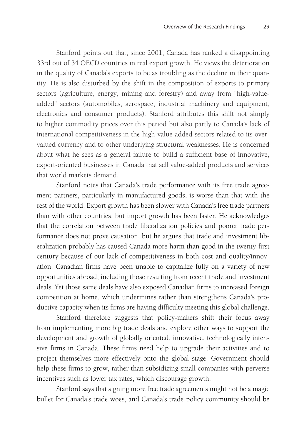Stanford points out that, since 2001, Canada has ranked a disappointing 33rd out of 34 OECD countries in real export growth. He views the deterioration in the quality of Canada's exports to be as troubling as the decline in their quantity. He is also disturbed by the shift in the composition of exports to primary sectors (agriculture, energy, mining and forestry) and away from "high-valueadded" sectors (automobiles, aerospace, industrial machinery and equipment, electronics and consumer products). Stanford attributes this shift not simply to higher commodity prices over this period but also partly to Canada's lack of international competitiveness in the high-value-added sectors related to its overvalued currency and to other underlying structural weaknesses. He is concerned about what he sees as a general failure to build a sufficient base of innovative, export-oriented businesses in Canada that sell value-added products and services that world markets demand.

Stanford notes that Canada's trade performance with its free trade agreement partners, particularly in manufactured goods, is worse than that with the rest of the world. Export growth has been slower with Canada's free trade partners than with other countries, but import growth has been faster. He acknowledges that the correlation between trade liberalization policies and poorer trade performance does not prove causation, but he argues that trade and investment liberalization probably has caused Canada more harm than good in the twenty-first century because of our lack of competitiveness in both cost and quality/innovation. Canadian firms have been unable to capitalize fully on a variety of new opportunities abroad, including those resulting from recent trade and investment deals. Yet those same deals have also exposed Canadian firms to increased foreign competition at home, which undermines rather than strengthens Canada's productive capacity when its firms are having difficulty meeting this global challenge.

Stanford therefore suggests that policy-makers shift their focus away from implementing more big trade deals and explore other ways to support the development and growth of globally oriented, innovative, technologically intensive firms in Canada. These firms need help to upgrade their activities and to project themselves more effectively onto the global stage. Government should help these firms to grow, rather than subsidizing small companies with perverse incentives such as lower tax rates, which discourage growth.

Stanford says that signing more free trade agreements might not be a magic bullet for Canada's trade woes, and Canada's trade policy community should be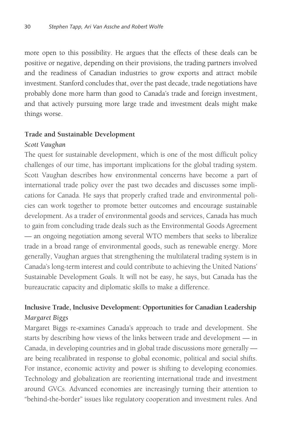more open to this possibility. He argues that the effects of these deals can be positive or negative, depending on their provisions, the trading partners involved and the readiness of Canadian industries to grow exports and attract mobile investment. Stanford concludes that, over the past decade, trade negotiations have probably done more harm than good to Canada's trade and foreign investment, and that actively pursuing more large trade and investment deals might make things worse.

#### **Trade and Sustainable Development**

#### *Scott Vaughan*

The quest for sustainable development, which is one of the most difficult policy challenges of our time, has important implications for the global trading system. Scott Vaughan describes how environmental concerns have become a part of international trade policy over the past two decades and discusses some implications for Canada. He says that properly crafted trade and environmental policies can work together to promote better outcomes and encourage sustainable development. As a trader of environmental goods and services, Canada has much to gain from concluding trade deals such as the Environmental Goods Agreement — an ongoing negotiation among several WTO members that seeks to liberalize trade in a broad range of environmental goods, such as renewable energy. More generally, Vaughan argues that strengthening the multilateral trading system is in Canada's long-term interest and could contribute to achieving the United Nations' Sustainable Development Goals. It will not be easy, he says, but Canada has the bureaucratic capacity and diplomatic skills to make a difference.

### **Inclusive Trade, Inclusive Development: Opportunities for Canadian Leadership** *Margaret Biggs*

Margaret Biggs re-examines Canada's approach to trade and development. She starts by describing how views of the links between trade and development — in Canada, in developing countries and in global trade discussions more generally are being recalibrated in response to global economic, political and social shifts. For instance, economic activity and power is shifting to developing economies. Technology and globalization are reorienting international trade and investment around GVCs. Advanced economies are increasingly turning their attention to "behind-the-border" issues like regulatory cooperation and investment rules. And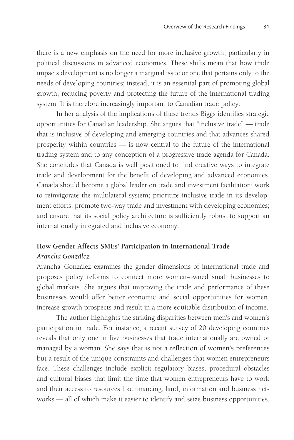there is a new emphasis on the need for more inclusive growth, particularly in political discussions in advanced economies. These shifts mean that how trade impacts development is no longer a marginal issue or one that pertains only to the needs of developing countries; instead, it is an essential part of promoting global growth, reducing poverty and protecting the future of the international trading system. It is therefore increasingly important to Canadian trade policy.

In her analysis of the implications of these trends Biggs identifies strategic opportunities for Canadian leadership. She argues that "inclusive trade" — trade that is inclusive of developing and emerging countries and that advances shared prosperity within countries — is now central to the future of the international trading system and to any conception of a progressive trade agenda for Canada. She concludes that Canada is well positioned to find creative ways to integrate trade and development for the benefit of developing and advanced economies. Canada should become a global leader on trade and investment facilitation; work to reinvigorate the multilateral system; prioritize inclusive trade in its development efforts; promote two-way trade and investment with developing economies; and ensure that its social policy architecture is sufficiently robust to support an internationally integrated and inclusive economy.

# **How Gender Affects SMEs' Participation in International Trade**

### *Arancha González*

Arancha González examines the gender dimensions of international trade and proposes policy reforms to connect more women-owned small businesses to global markets. She argues that improving the trade and performance of these businesses would offer better economic and social opportunities for women, increase growth prospects and result in a more equitable distribution of income.

The author highlights the striking disparities between men's and women's participation in trade. For instance, a recent survey of 20 developing countries reveals that only one in five businesses that trade internationally are owned or managed by a woman. She says that is not a reflection of women's preferences but a result of the unique constraints and challenges that women entrepreneurs face. These challenges include explicit regulatory biases, procedural obstacles and cultural biases that limit the time that women entrepreneurs have to work and their access to resources like financing, land, information and business networks — all of which make it easier to identify and seize business opportunities.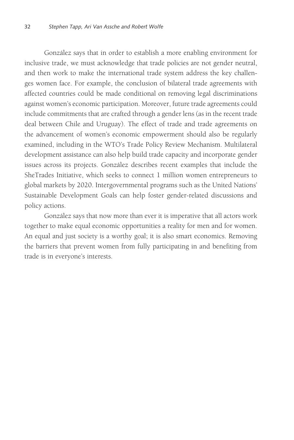González says that in order to establish a more enabling environment for inclusive trade, we must acknowledge that trade policies are not gender neutral, and then work to make the international trade system address the key challenges women face. For example, the conclusion of bilateral trade agreements with affected countries could be made conditional on removing legal discriminations against women's economic participation. Moreover, future trade agreements could include commitments that are crafted through a gender lens (as in the recent trade deal between Chile and Uruguay). The effect of trade and trade agreements on the advancement of women's economic empowerment should also be regularly examined, including in the WTO's Trade Policy Review Mechanism. Multilateral development assistance can also help build trade capacity and incorporate gender issues across its projects. González describes recent examples that include the SheTrades Initiative, which seeks to connect 1 million women entrepreneurs to global markets by 2020. Intergovernmental programs such as the United Nations' Sustainable Development Goals can help foster gender-related discussions and policy actions.

González says that now more than ever it is imperative that all actors work together to make equal economic opportunities a reality for men and for women. An equal and just society is a worthy goal; it is also smart economics. Removing the barriers that prevent women from fully participating in and benefiting from trade is in everyone's interests.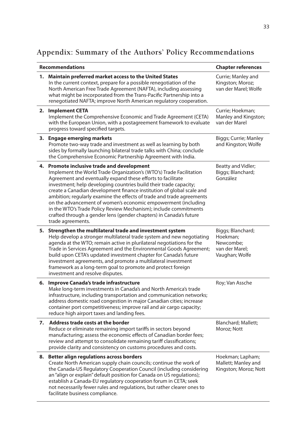# **Appendix: Summary of the Authors' Policy Recommendations**

| <b>Recommendations</b> |                                                                                                                                                                                                                                                                                                                                                                                                                                                                                                                                                                                                                                      | <b>Chapter references</b>                                                      |
|------------------------|--------------------------------------------------------------------------------------------------------------------------------------------------------------------------------------------------------------------------------------------------------------------------------------------------------------------------------------------------------------------------------------------------------------------------------------------------------------------------------------------------------------------------------------------------------------------------------------------------------------------------------------|--------------------------------------------------------------------------------|
| 1.                     | Maintain preferred market access to the United States<br>In the current context, prepare for a possible renegotiation of the<br>North American Free Trade Agreement (NAFTA), including assessing<br>what might be incorporated from the Trans-Pacific Partnership into a<br>renegotiated NAFTA; improve North American regulatory cooperation.                                                                                                                                                                                                                                                                                       | Currie; Manley and<br>Kingston; Moroz;<br>van der Marel: Wolfe                 |
| 2.                     | <b>Implement CETA</b><br>Implement the Comprehensive Economic and Trade Agreement (CETA)<br>with the European Union, with a postagreement framework to evaluate<br>progress toward specified targets.                                                                                                                                                                                                                                                                                                                                                                                                                                | Currie; Hoekman;<br>Manley and Kingston;<br>van der Marel                      |
|                        | 3. Engage emerging markets<br>Promote two-way trade and investment as well as learning by both<br>sides by formally launching bilateral trade talks with China; conclude<br>the Comprehensive Economic Partnership Agreement with India.                                                                                                                                                                                                                                                                                                                                                                                             | Biggs; Currie; Manley<br>and Kingston; Wolfe                                   |
| 4.                     | Promote inclusive trade and development<br>Implement the World Trade Organization's (WTO's) Trade Facilitation<br>Agreement and eventually expand these efforts to facilitate<br>investment; help developing countries build their trade capacity;<br>create a Canadian development finance institution of global scale and<br>ambition; regularly examine the effects of trade and trade agreements<br>on the advancement of women's economic empowerment (including<br>in the WTO's Trade Policy Review Mechanism); include commitments<br>crafted through a gender lens (gender chapters) in Canada's future<br>trade agreements. | Beatty and Vidler;<br>Biggs; Blanchard;<br>González                            |
| 5.                     | Strengthen the multilateral trade and investment system<br>Help develop a stronger multilateral trade system and new negotiating<br>agenda at the WTO; remain active in plurilateral negotiations for the<br>Trade in Services Agreement and the Environmental Goods Agreement;<br>build upon CETA's updated investment chapter for Canada's future<br>investment agreements, and promote a multilateral investment<br>framework as a long-term goal to promote and protect foreign<br>investment and resolve disputes.                                                                                                              | Biggs; Blanchard;<br>Hoekman;<br>Newcombe:<br>van der Marel;<br>Vaughan; Wolfe |
|                        | 6. Improve Canada's trade infrastructure<br>Make long-term investments in Canada's and North America's trade<br>infrastructure, including transportation and communication networks;<br>address domestic road congestion in major Canadian cities; increase<br>container port competitiveness; improve rail and air cargo capacity;<br>reduce high airport taxes and landing fees.                                                                                                                                                                                                                                                   | Roy; Van Assche                                                                |
| 7.                     | Address trade costs at the border<br>Reduce or eliminate remaining import tariffs in sectors beyond<br>manufacturing; assess the economic effects of Canadian border fees;<br>review and attempt to consolidate remaining tariff classifications;<br>provide clarity and consistency on customs procedures and costs.                                                                                                                                                                                                                                                                                                                | Blanchard; Mallett;<br>Moroz; Nott                                             |
|                        | 8. Better align regulations across borders<br>Create North American supply chain councils; continue the work of<br>the Canada-US Regulatory Cooperation Council (including considering<br>an "align or explain" default position for Canada on US regulations);<br>establish a Canada-EU regulatory cooperation forum in CETA; seek<br>not necessarily fewer rules and regulations, but rather clearer ones to<br>facilitate business compliance.                                                                                                                                                                                    | Hoekman; Lapham;<br>Mallett; Manley and<br>Kingston; Moroz; Nott               |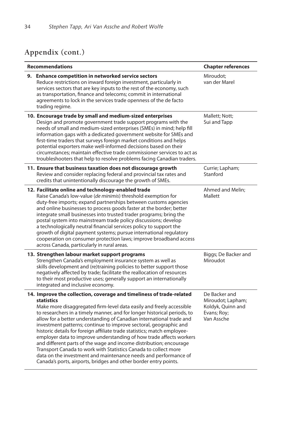# **Appendix (cont.)**

| <b>Recommendations</b> |                                                                                                                                                                                                                                                                                                                                                                                                                                                                                                                                                                                                                                                                                                                                                                                                                               | <b>Chapter references</b>                                                            |
|------------------------|-------------------------------------------------------------------------------------------------------------------------------------------------------------------------------------------------------------------------------------------------------------------------------------------------------------------------------------------------------------------------------------------------------------------------------------------------------------------------------------------------------------------------------------------------------------------------------------------------------------------------------------------------------------------------------------------------------------------------------------------------------------------------------------------------------------------------------|--------------------------------------------------------------------------------------|
|                        | 9. Enhance competition in networked service sectors<br>Reduce restrictions on inward foreign investment, particularly in<br>services sectors that are key inputs to the rest of the economy, such<br>as transportation, finance and telecoms; commit in international<br>agreements to lock in the services trade openness of the de facto<br>trading regime.                                                                                                                                                                                                                                                                                                                                                                                                                                                                 | Miroudot;<br>van der Marel                                                           |
|                        | 10. Encourage trade by small and medium-sized enterprises<br>Design and promote government trade support programs with the<br>needs of small and medium-sized enterprises (SMEs) in mind; help fill<br>information gaps with a dedicated government website for SMEs and<br>first-time traders that surveys foreign market conditions and helps<br>potential exporters make well-informed decisions based on their<br>circumstances; maintain effective trade commissioner services to act as<br>troubleshooters that help to resolve problems facing Canadian traders.                                                                                                                                                                                                                                                       | Mallett; Nott;<br>Sui and Tapp                                                       |
|                        | 11. Ensure that business taxation does not discourage growth<br>Review and consider replacing federal and provincial tax rates and<br>credits that unintentionally discourage the growth of SMEs.                                                                                                                                                                                                                                                                                                                                                                                                                                                                                                                                                                                                                             | Currie; Lapham;<br>Stanford                                                          |
|                        | 12. Facilitate online and technology-enabled trade<br>Raise Canada's low-value (de minimis) threshold exemption for<br>duty-free imports; expand partnerships between customs agencies<br>and online businesses to process goods faster at the border; better<br>integrate small businesses into trusted trader programs; bring the<br>postal system into mainstream trade policy discussions; develop<br>a technologically neutral financial services policy to support the<br>growth of digital payment systems; pursue international regulatory<br>cooperation on consumer protection laws; improve broadband access<br>across Canada, particularly in rural areas.                                                                                                                                                        | Ahmed and Melin;<br>Mallett                                                          |
|                        | 13. Strengthen labour market support programs<br>Strengthen Canada's employment insurance system as well as<br>skills development and (re)training policies to better support those<br>negatively affected by trade; facilitate the reallocation of resources<br>to their most productive uses; generally support an internationally<br>integrated and inclusive economy.                                                                                                                                                                                                                                                                                                                                                                                                                                                     | Biggs; De Backer and<br>Miroudot                                                     |
|                        | 14. Improve the collection, coverage and timeliness of trade-related<br><b>statistics</b><br>Make more disaggregated firm-level data easily and freely accessible<br>to researchers in a timely manner, and for longer historical periods, to<br>allow for a better understanding of Canadian international trade and<br>investment patterns; continue to improve sectoral, geographic and<br>historic details for foreign affiliate trade statistics; match employee-<br>employer data to improve understanding of how trade affects workers<br>and different parts of the wage and income distribution; encourage<br>Transport Canada to work with Statistics Canada to collect more<br>data on the investment and maintenance needs and performance of<br>Canada's ports, airports, bridges and other border entry points. | De Backer and<br>Miroudot; Lapham;<br>Koldyk, Quinn and<br>Evans; Roy;<br>Van Assche |